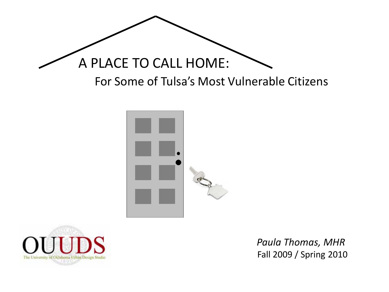





Fall 2009 / Spring 2010 *Paula Thomas, MHR*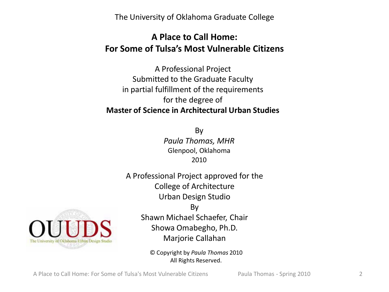The University of Oklahoma Graduate College

# **A Place to Call Home: For Some of Tulsa's Most Vulnerable Citizens**

A Professional Project Submitted to the Graduate Faculty in partial fulfillment of the requirements for the degree of **Master of Science in Architectural Urban Studies**

> By *Paula Thomas, MHR* Glenpool, Oklahoma 2010

A Professional Project approved for the College of Architecture Urban Design Studio By



Shawn Michael Schaefer, Chair Showa Omabegho, Ph.D. Marjorie Callahan

© Copyright by *Paula Thomas* 2010 All Rights Reserved.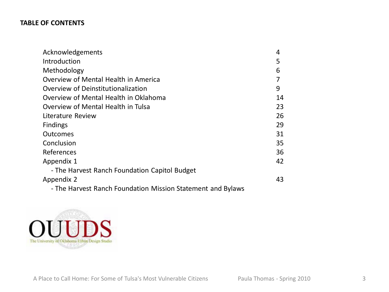# **TABLE OF CONTENTS**

| Acknowledgements                                            | 4  |
|-------------------------------------------------------------|----|
| Introduction                                                | 5  |
| Methodology                                                 | 6  |
| Overview of Mental Health in America                        |    |
| Overview of Deinstitutionalization                          | 9  |
| Overview of Mental Health in Oklahoma                       | 14 |
| Overview of Mental Health in Tulsa                          | 23 |
| Literature Review                                           | 26 |
| <b>Findings</b>                                             | 29 |
| <b>Outcomes</b>                                             | 31 |
| Conclusion                                                  | 35 |
| References                                                  | 36 |
| Appendix 1                                                  | 42 |
| - The Harvest Ranch Foundation Capitol Budget               |    |
| Appendix 2                                                  | 43 |
| - The Harvest Ranch Foundation Mission Statement and Bylaws |    |

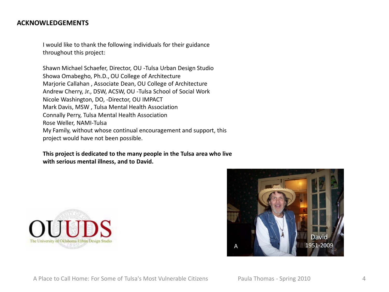### **ACKNOWLEDGEMENTS**

I would like to thank the following individuals for their guidance throughout this project:

Shawn Michael Schaefer, Director, OU -Tulsa Urban Design Studio Showa Omabegho, Ph.D., OU College of Architecture Marjorie Callahan , Associate Dean, OU College of Architecture Andrew Cherry, Jr., DSW, ACSW, OU -Tulsa School of Social Work Nicole Washington, DO, -Director, OU IMPACT Mark Davis, MSW , Tulsa Mental Health Association Connally Perry, Tulsa Mental Health Association Rose Weller, NAMI-Tulsa My Family, without whose continual encouragement and support, this project would have not been possible.

**This project is dedicated to the many people in the Tulsa area who live with serious mental illness, and to David.**



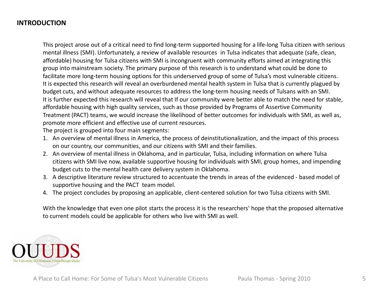# **INTRODUCTION**

This project arose out of a critical need to find long-term supported housing for a life-long Tulsa citizen with serious mental illness (SMI). Unfortunately, a review of available resources in Tulsa indicates that adequate (safe, clean, affordable) housing for Tulsa citizens with SMI is incongruent with community efforts aimed at integrating this group into mainstream society. The primary purpose of this research is to understand what could be done to facilitate more long-term housing options for this underserved group of some of Tulsa's most vulnerable citizens. It is expected this research will reveal an overburdened mental health system in Tulsa that is currently plagued by budget cuts, and without adequate resources to address the long-term housing needs of Tulsans with an SMI. It is further expected this research will reveal that If our community were better able to match the need for stable, affordable housing with high quality services, such as those provided by Programs of Assertive Community Treatment (PACT) teams, we would increase the likelihood of better outcomes for individuals with SMI, as well as, promote more efficient and effective use of current resources.

The project is grouped into four main segments:

- 1. An overview of mental illness in America, the process of deinstitutionalization, and the impact of this process on our country, our communities, and our citizens with SMI and their families.
- 2. An overview of mental illness in Oklahoma, and in particular, Tulsa, including information on where Tulsa citizens with SMI live now, available supportive housing for individuals with SMI, group homes, and impending budget cuts to the mental health care delivery system in Oklahoma.
- 3. A descriptive literature review structured to accentuate the trends in areas of the evidenced based model of supportive housing and the PACT team model.
- 4. The project concludes by proposing an applicable, client-centered solution for two Tulsa citizens with SMI.

With the knowledge that even one pilot starts the process it is the researchers' hope that the proposed alternative to current models could be applicable for others who live with SMI as well.

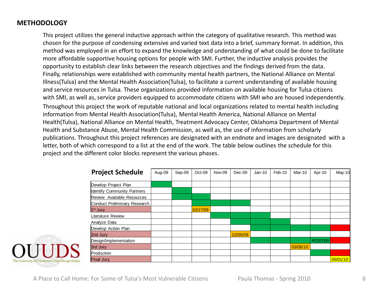# **METHODOLOGY**

This project utilizes the general inductive approach within the category of qualitative research. This method was chosen for the purpose of condensing extensive and varied text data into a brief, summary format. In addition, this method was employed in an effort to expand the knowledge and understanding of what could be done to facilitate more affordable supportive housing options for people with SMI. Further, the inductive analysis provides the opportunity to establish clear links between the research objectives and the findings derived from the data. Finally, relationships were established with community mental health partners, the National Alliance on Mental Illness(Tulsa) and the Mental Health Association(Tulsa), to facilitate a current understanding of available housing and service resources in Tulsa. These organizations provided information on available housing for Tulsa citizens with SMI, as well as, service providers equipped to accommodate citizens with SMI who are housed independently.

Throughout this project the work of reputable national and local organizations related to mental health including information from Mental Health Association(Tulsa), Mental Health America, National Alliance on Mental Health(Tulsa), National Alliance on Mental Health, Treatment Advocacy Center, Oklahoma Department of Mental Health and Substance Abuse, Mental Health Commission, as well as, the use of information from scholarly publications. Throughout this project references are designated with an endnote and images are designated with a letter, both of which correspond to a list at the end of the work. The table below outlines the schedule for this project and the different color blocks represent the various phases.

| <b>Project Schedule</b>            | Aug-09 | Sep-09 | $Oct-09$ | Nov-09 | $Dec-09$ | $Jan-10$ | Feb-10 | Mar-10   | Apr-10        | $May-10$ |
|------------------------------------|--------|--------|----------|--------|----------|----------|--------|----------|---------------|----------|
|                                    |        |        |          |        |          |          |        |          |               |          |
| Develop Project Plan               |        |        |          |        |          |          |        |          |               |          |
| <b>Identify Community Partners</b> |        |        |          |        |          |          |        |          |               |          |
| Review Available Resources         |        |        |          |        |          |          |        |          |               |          |
| Conduct Preliminary Research       |        |        |          |        |          |          |        |          |               |          |
| 1 <sup>st</sup> Jury               |        |        | 10/17/09 |        |          |          |        |          |               |          |
| Literature Review                  |        |        |          |        |          |          |        |          |               |          |
| Analyze Data                       |        |        |          |        |          |          |        |          |               |          |
| Develop Action Plan                |        |        |          |        |          |          |        |          |               |          |
| 2nd Jury                           |        |        |          |        | 12/05/09 |          |        |          |               |          |
| Design/Implementation              |        |        |          |        |          |          |        |          | <b>POSTER</b> |          |
| 3rd Jury                           |        |        |          |        |          |          |        | 03/06/10 |               |          |
| Production                         |        |        |          |        |          |          |        |          |               |          |
| <b>Final Jury</b>                  |        |        |          |        |          |          |        |          |               | 05/01/10 |

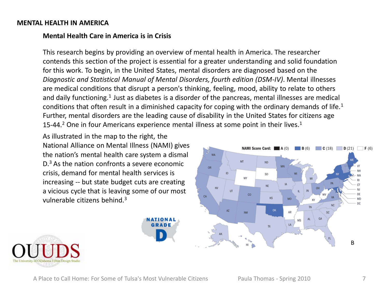### **MENTAL HEALTH IN AMERICA**

# **Mental Health Care in America is in Crisis**

This research begins by providing an overview of mental health in America. The researcher contends this section of the project is essential for a greater understanding and solid foundation for this work. To begin, in the United States, mental disorders are diagnosed based on the *Diagnostic and Statistical Manual of Mental Disorders, fourth edition (DSM-IV)*. Mental illnesses are medical conditions that disrupt a person's thinking, feeling, mood, ability to relate to others and daily functioning.<sup>1</sup> Just as diabetes is a disorder of the pancreas, mental illnesses are medical conditions that often result in a diminished capacity for coping with the ordinary demands of life.<sup>1</sup> Further, mental disorders are the leading cause of disability in the United States for citizens age 15-44.<sup>2</sup> One in four Americans experience mental illness at some point in their lives.<sup>1</sup>

As illustrated in the map to the right, the National Alliance on Mental Illness (NAMI) gives the nation's mental health care system a dismal D.3 As the nation confronts a severe economic crisis, demand for mental health services is increasing -- but state budget cuts are creating a vicious cycle that is leaving some of our most vulnerable citizens behind.3

NATIONAL



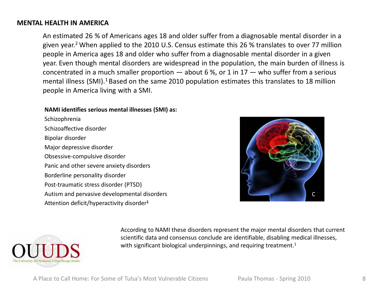### **MENTAL HEALTH IN AMERICA**

An estimated 26 % of Americans ages 18 and older suffer from a diagnosable mental disorder in a given year.<sup>2</sup> When applied to the 2010 U.S. Census estimate this 26 % translates to over 77 million people in America ages 18 and older who suffer from a diagnosable mental disorder in a given year. Even though mental disorders are widespread in the population, the main burden of illness is concentrated in a much smaller proportion  $-$  about 6%, or 1 in 17  $-$  who suffer from a serious mental illness (SMI).<sup>1</sup> Based on the same 2010 population estimates this translates to 18 million people in America living with a SMI.

#### **NAMI identifies serious mental illnesses (SMI) as:**

Schizophrenia Schizoaffective disorder Bipolar disorder Major depressive disorder Obsessive-compulsive disorder Panic and other severe anxiety disorders Borderline personality disorder Post-traumatic stress disorder (PTSD) Autism and pervasive developmental disorders Attention deficit/hyperactivity disorder**<sup>1</sup>**





According to NAMI these disorders represent the major mental disorders that current scientific data and consensus conclude are identifiable, disabling medical illnesses, with significant biological underpinnings, and requiring treatment.<sup>1</sup>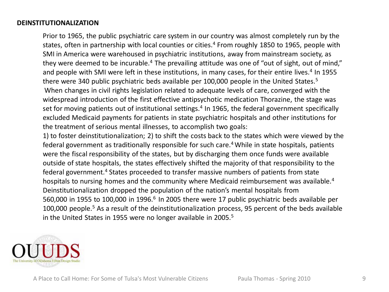Prior to 1965, the public psychiatric care system in our country was almost completely run by the states, often in partnership with local counties or cities.<sup>4</sup> From roughly 1850 to 1965, people with SMI in America were warehoused in psychiatric institutions, away from mainstream society, as they were deemed to be incurable.<sup>4</sup> The prevailing attitude was one of "out of sight, out of mind," and people with SMI were left in these institutions, in many cases, for their entire lives.<sup>4</sup> In 1955 there were 340 public psychiatric beds available per 100,000 people in the United States.<sup>5</sup> When changes in civil rights legislation related to adequate levels of care, converged with the widespread introduction of the first effective antipsychotic medication Thorazine, the stage was set for moving patients out of institutional settings.<sup>4</sup> In 1965, the federal government specifically excluded Medicaid payments for patients in state psychiatric hospitals and other institutions for the treatment of serious mental illnesses, to accomplish two goals:

1) to foster deinstitutionalization; 2) to shift the costs back to the states which were viewed by the federal government as traditionally responsible for such care.<sup>4</sup> While in state hospitals, patients were the fiscal responsibility of the states, but by discharging them once funds were available outside of state hospitals, the states effectively shifted the majority of that responsibility to the federal government.<sup>4</sup> States proceeded to transfer massive numbers of patients from state hospitals to nursing homes and the community where Medicaid reimbursement was available.<sup>4</sup> Deinstitutionalization dropped the population of the nation's mental hospitals from 560,000 in 1955 to 100,000 in 1996.<sup>6</sup> In 2005 there were 17 public psychiatric beds available per 100,000 people.<sup>5</sup> As a result of the deinstitutionalization process, 95 percent of the beds available in the United States in 1955 were no longer available in 2005.<sup>5</sup>

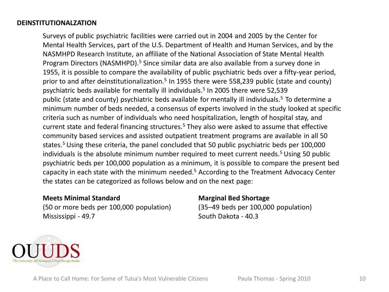Surveys of public psychiatric facilities were carried out in 2004 and 2005 by the Center for Mental Health Services, part of the U.S. Department of Health and Human Services, and by the NASMHPD Research Institute, an affiliate of the National Association of State Mental Health Program Directors (NASMHPD).<sup>5</sup> Since similar data are also available from a survey done in 1955, it is possible to compare the availability of public psychiatric beds over a fifty-year period, prior to and after deinstitutionalization.<sup>5</sup> In 1955 there were 558,239 public (state and county) psychiatric beds available for mentally ill individuals.<sup>5</sup> In 2005 there were 52.539 public (state and county) psychiatric beds available for mentally ill individuals.5 To determine a minimum number of beds needed, a consensus of experts involved in the study looked at specific criteria such as number of individuals who need hospitalization, length of hospital stay, and current state and federal financing structures.<sup>5</sup> They also were asked to assume that effective community based services and assisted outpatient treatment programs are available in all 50 states.<sup>5</sup> Using these criteria, the panel concluded that 50 public psychiatric beds per 100,000 individuals is the absolute minimum number required to meet current needs.<sup>5</sup> Using 50 public psychiatric beds per 100,000 population as a minimum, it is possible to compare the present bed capacity in each state with the minimum needed.5 According to the Treatment Advocacy Center the states can be categorized as follows below and on the next page:

### **Meets Minimal Standard**

(50 or more beds per 100,000 population) Mississippi - 49.7

# **Marginal Bed Shortage**

(35–49 beds per 100,000 population) South Dakota - 40.3

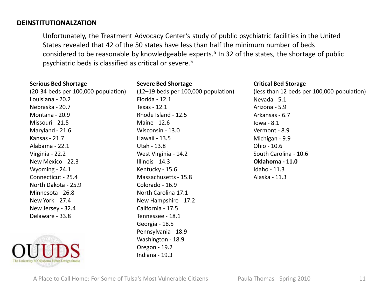Unfortunately, the Treatment Advocacy Center's study of public psychiatric facilities in the United States revealed that 42 of the 50 states have less than half the minimum number of beds considered to be reasonable by knowledgeable experts.<sup>5</sup> In 32 of the states, the shortage of public psychiatric beds is classified as critical or severe.5

| <b>Serious Bed Shortage</b>         | <b>Severe Bed Shortage</b>            | <b>Critical Bed Storage</b>                |
|-------------------------------------|---------------------------------------|--------------------------------------------|
| (20-34 beds per 100,000 population) | $(12-19$ beds per 100,000 population) | (less than 12 beds per 100,000 population) |
| Louisiana - 20.2                    | Florida - 12.1                        | Nevada - 5.1                               |
| Nebraska - 20.7                     | Texas - 12.1                          | Arizona - 5.9                              |
| Montana - 20.9                      | Rhode Island - 12.5                   | Arkansas - 6.7                             |
| Missouri -21.5                      | Maine - 12.6                          | $Iowa - 8.1$                               |
| Maryland - 21.6                     | Wisconsin - 13.0                      | Vermont - 8.9                              |
| Kansas - 21.7                       | Hawaii - 13.5                         | Michigan - 9.9                             |
| Alabama - 22.1                      | Utah - 13.8                           | Ohio - 10.6                                |
| Virginia - 22.2                     | West Virginia - 14.2                  | South Carolina - 10.6                      |
| New Mexico - 22.3                   | Illinois - 14.3                       | Oklahoma - 11.0                            |
| Wyoming - 24.1                      | Kentucky - 15.6                       | Idaho - 11.3                               |
| Connecticut - 25.4                  | Massachusetts - 15.8                  | Alaska - 11.3                              |
| North Dakota - 25.9                 | Colorado - 16.9                       |                                            |
| Minnesota - 26.8                    | North Carolina 17.1                   |                                            |
| New York - 27.4                     | New Hampshire - 17.2                  |                                            |
| New Jersey - 32.4                   | California - 17.5                     |                                            |
| Delaware - 33.8                     | Tennessee - 18.1                      |                                            |
|                                     | Georgia - 18.5                        |                                            |
|                                     | Pennsylvania - 18.9                   |                                            |
|                                     | Washington - 18.9                     |                                            |
|                                     | Oregon - 19.2                         |                                            |
|                                     | Indiana - 19.3                        |                                            |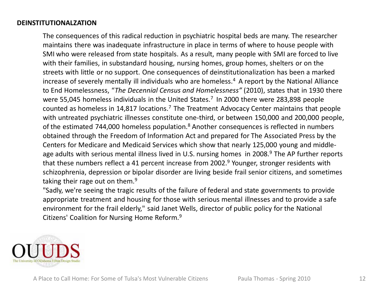The consequences of this radical reduction in psychiatric hospital beds are many. The researcher maintains there was inadequate infrastructure in place in terms of where to house people with SMI who were released from state hospitals. As a result, many people with SMI are forced to live with their families, in substandard housing, nursing homes, group homes, shelters or on the streets with little or no support. One consequences of deinstitutionalization has been a marked increase of severely mentally ill individuals who are homeless.<sup>4</sup> A report by the National Alliance to End Homelessness, "*The Decennial Census and Homelessness"* (2010), states that in 1930 there were 55,045 homeless individuals in the United States.<sup>7</sup> In 2000 there were 283,898 people counted as homeless in 14,817 locations.7 The Treatment Advocacy Center maintains that people with untreated psychiatric illnesses constitute one-third, or between 150,000 and 200,000 people, of the estimated 744,000 homeless population.<sup>8</sup> Another consequences is reflected in numbers obtained through the Freedom of Information Act and prepared for The Associated Press by the Centers for Medicare and Medicaid Services which show that nearly 125,000 young and middleage adults with serious mental illness lived in U.S. nursing homes in 2008.<sup>9</sup> The AP further reports that these numbers reflect a 41 percent increase from 2002.<sup>9</sup> Younger, stronger residents with schizophrenia, depression or bipolar disorder are living beside frail senior citizens, and sometimes taking their rage out on them. $9$ 

"Sadly, we're seeing the tragic results of the failure of federal and state governments to provide appropriate treatment and housing for those with serious mental illnesses and to provide a safe environment for the frail elderly," said Janet Wells, director of public policy for the National Citizens' Coalition for Nursing Home Reform.9

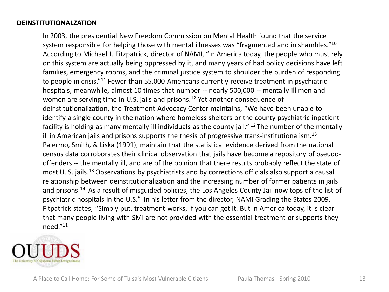In 2003, the presidential New Freedom Commission on Mental Health found that the service system responsible for helping those with mental illnesses was "fragmented and in shambles."<sup>10</sup> According to Michael J. Fitzpatrick, director of NAMI, "In America today, the people who must rely on this system are actually being oppressed by it, and many years of bad policy decisions have left families, emergency rooms, and the criminal justice system to shoulder the burden of responding to people in crisis."11 Fewer than 55,000 Americans currently receive treatment in psychiatric hospitals, meanwhile, almost 10 times that number -- nearly 500,000 -- mentally ill men and women are serving time in U.S. jails and prisons.<sup>12</sup> Yet another consequence of deinstitutionalization, the Treatment Advocacy Center maintains, "We have been unable to identify a single county in the nation where homeless shelters or the county psychiatric inpatient facility is holding as many mentally ill individuals as the county jail." <sup>12</sup> The number of the mentally ill in American jails and prisons supports the thesis of progressive trans-institutionalism.<sup>13</sup> Palermo, Smith, & Liska (1991), maintain that the statistical evidence derived from the national census data corroborates their clinical observation that jails have become a repository of pseudooffenders -- the mentally ill, and are of the opinion that there results probably reflect the state of most U. S. jails.<sup>13</sup> Observations by psychiatrists and by corrections officials also support a causal relationship between deinstitutionalization and the increasing number of former patients in jails and prisons.<sup>14</sup> As a result of misguided policies, the Los Angeles County Jail now tops of the list of psychiatric hospitals in the U.S.<sup>8</sup> In his letter from the director, NAMI Grading the States 2009, Fitpatrick states, "Simply put, treatment works, if you can get it. But in America today, it is clear that many people living with SMI are not provided with the essential treatment or supports they need."11

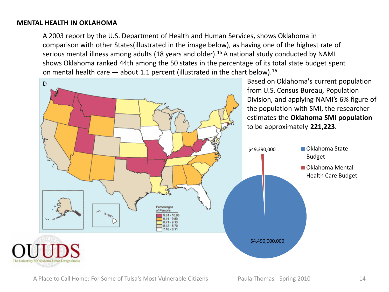A 2003 report by the U.S. Department of Health and Human Services, shows Oklahoma in comparison with other States(illustrated in the image below), as having one of the highest rate of serious mental illness among adults (18 years and older).<sup>15</sup> A national study conducted by NAMI shows Oklahoma ranked 44th among the 50 states in the percentage of its total state budget spent on mental health care  $-$  about 1.1 percent (illustrated in the chart below).<sup>16</sup>

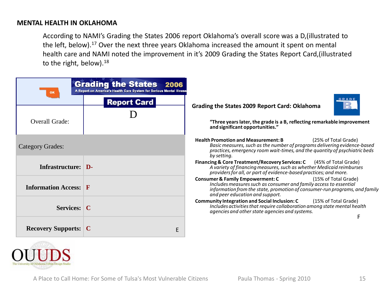According to NAMI's Grading the States 2006 report Oklahoma's overall score was a D,(illustrated to the left, below).<sup>17</sup> Over the next three years Oklahoma increased the amount it spent on mental health care and NAMI noted the improvement in it's 2009 Grading the States Report Card,(illustrated to the right, below).<sup>18</sup>

|                              | <b>Grading the States 2006</b><br>A Report on America's Health Care System for Serious Mental Illness |                                                                                                                                                                                                                                                           |
|------------------------------|-------------------------------------------------------------------------------------------------------|-----------------------------------------------------------------------------------------------------------------------------------------------------------------------------------------------------------------------------------------------------------|
|                              | <b>Report Card</b>                                                                                    | GRADE<br>Grading the States 2009 Report Card: Oklahoma                                                                                                                                                                                                    |
| <b>Overall Grade:</b>        |                                                                                                       | "Three years later, the grade is a B, reflecting remarkable improvement<br>and significant opportunities."                                                                                                                                                |
| Category Grades:             |                                                                                                       | <b>Health Promotion and Measurement: B</b><br>(25% of Total Grade)<br>Basic measures, such as the number of programs delivering evidence-based<br>practices, emergency room wait-times, and the quantity of psychiatric beds<br>by setting.               |
| Infrastructure: D-           |                                                                                                       | Financing & Core Treatment/Recovery Services: C (45% of Total Grade)<br>A variety of financing measures, such as whether Medicaid reimburses<br>providers for all, or part of evidence-based practices; and more.                                         |
| <b>Information Access: F</b> |                                                                                                       | <b>Consumer &amp; Family Empowerment: C</b><br>(15% of Total Grade)<br>Includes measures such as consumer and family access to essential<br>information from the state, promotion of consumer-run programs, and family<br>and peer education and support. |
| <b>Services:</b> C           |                                                                                                       | <b>Community Integration and Social Inclusion: C</b> (15% of Total Grade)<br>Includes activities that require collaboration among state mental health<br>agencies and other state agencies and systems.                                                   |
| <b>Recovery Supports: C</b>  | E                                                                                                     |                                                                                                                                                                                                                                                           |

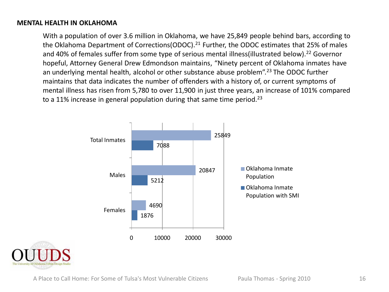With a population of over 3.6 million in Oklahoma, we have 25,849 people behind bars, according to the Oklahoma Department of Corrections (ODOC).<sup>21</sup> Further, the ODOC estimates that 25% of males and 40% of females suffer from some type of serious mental illness (illustrated below).<sup>22</sup> Governor hopeful, Attorney General Drew Edmondson maintains, "Ninety percent of Oklahoma inmates have an underlying mental health, alcohol or other substance abuse problem".<sup>23</sup> The ODOC further maintains that data indicates the number of offenders with a history of, or current symptoms of mental illness has risen from 5,780 to over 11,900 in just three years, an increase of 101% compared to a 11% increase in general population during that same time period.<sup>23</sup>



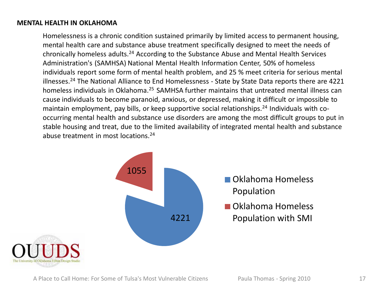Homelessness is a chronic condition sustained primarily by limited access to permanent housing, mental health care and substance abuse treatment specifically designed to meet the needs of chronically homeless adults.24 According to the Substance Abuse and Mental Health Services Administration's (SAMHSA) National Mental Health Information Center, 50% of homeless individuals report some form of mental health problem, and 25 % meet criteria for serious mental illnesses.<sup>24</sup> The National Alliance to End Homelessness - State by State Data reports there are 4221 homeless individuals in Oklahoma.<sup>25</sup> SAMHSA further maintains that untreated mental illness can cause individuals to become paranoid, anxious, or depressed, making it difficult or impossible to maintain employment, pay bills, or keep supportive social relationships.<sup>24</sup> Individuals with cooccurring mental health and substance use disorders are among the most difficult groups to put in stable housing and treat, due to the limited availability of integrated mental health and substance abuse treatment in most locations.24



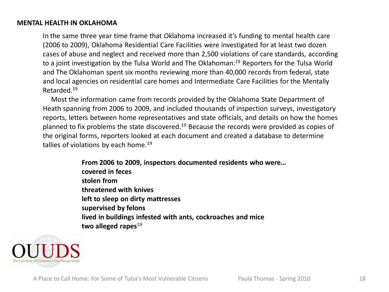In the same three year time frame that Oklahoma increased it's funding to mental health care (2006 to 2009), Oklahoma Residential Care Facilities were investigated for at least two dozen cases of abuse and neglect and received more than 2,500 violations of care standards, according to a joint investigation by the Tulsa World and The Oklahoman.<sup>19</sup> Reporters for the Tulsa World and The Oklahoman spent six months reviewing more than 40,000 records from federal, state and local agencies on residential care homes and Intermediate Care Facilities for the Mentally Retarded.19

Most the information came from records provided by the Oklahoma State Department of Heath spanning from 2006 to 2009, and included thousands of inspection surveys, investigatory reports, letters between home representatives and state officials, and details on how the homes planned to fix problems the state discovered.<sup>19</sup> Because the records were provided as copies of the original forms, reporters looked at each document and created a database to determine tallies of violations by each home.<sup>19</sup>

> **From 2006 to 2009, inspectors documented residents who were… covered in feces stolen from threatened with knives left to sleep on dirty mattresses supervised by felons lived in buildings infested with ants, cockroaches and mice two alleged rapes**19

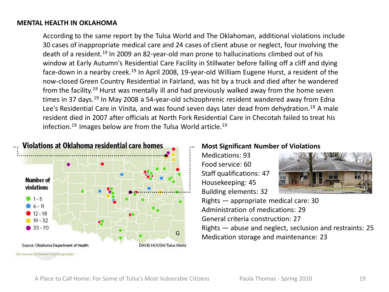According to the same report by the Tulsa World and The Oklahoman, additional violations include 30 cases of inappropriate medical care and 24 cases of client abuse or neglect, four involving the death of a resident.<sup>19</sup> In 2009 an 82-year-old man prone to hallucinations climbed out of his window at Early Autumn's Residential Care Facility in Stillwater before falling off a cliff and dying face-down in a nearby creek.<sup>19</sup> In April 2008, 19-year-old William Eugene Hurst, a resident of the now-closed Green Country Residential in Fairland, was hit by a truck and died after he wandered from the facility.19 Hurst was mentally ill and had previously walked away from the home seven times in 37 days.<sup>19</sup> In May 2008 a 54-year-old schizophrenic resident wandered away from Edna Lee's Residential Care in Vinita, and was found seven days later dead from dehydration.<sup>19</sup> A male resident died in 2007 after officials at North Fork Residential Care in Checotah failed to treat his infection.<sup>19</sup> Images below are from the Tulsa World article.<sup>19</sup>



### **Most Significant Number of Violations**

Medications: 93 Food service: 60 Staff qualifications: 47 Housekeeping: 45 Building elements: 32



Rights — appropriate medical care: 30 Administration of medications: 29 General criteria construction: 27 Rights — abuse and neglect, seclusion and restraints: 25 Medication storage and maintenance: 23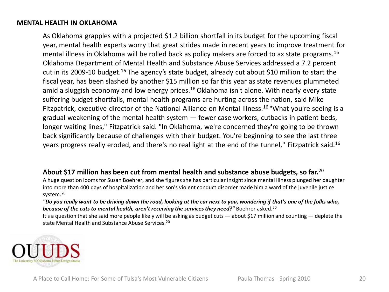As Oklahoma grapples with a projected \$1.2 billion shortfall in its budget for the upcoming fiscal year, mental health experts worry that great strides made in recent years to improve treatment for mental illness in Oklahoma will be rolled back as policy makers are forced to ax state programs.<sup>16</sup> Oklahoma Department of Mental Health and Substance Abuse Services addressed a 7.2 percent cut in its 2009-10 budget.<sup>16</sup> The agency's state budget, already cut about \$10 million to start the fiscal year, has been slashed by another \$15 million so far this year as state revenues plummeted amid a sluggish economy and low energy prices.<sup>16</sup> Oklahoma isn't alone. With nearly every state suffering budget shortfalls, mental health programs are hurting across the nation, said Mike Fitzpatrick, executive director of the National Alliance on Mental Illness.16 "What you're seeing is a gradual weakening of the mental health system  $-$  fewer case workers, cutbacks in patient beds, longer waiting lines," Fitzpatrick said. "In Oklahoma, we're concerned they're going to be thrown back significantly because of challenges with their budget. You're beginning to see the last three years progress really eroded, and there's no real light at the end of the tunnel," Fitzpatrick said.16

## **About \$17 million has been cut from mental health and substance abuse budgets, so far.**<sup>20</sup>

A huge question looms for Susan Boehrer, and she figures she has particular insight since mental illness plunged her daughter into more than 400 days of hospitalization and her son's violent conduct disorder made him a ward of the juvenile justice system.<sup>20</sup>

*"Do you really want to be driving down the road, looking at the car next to you, wondering if that's one of the folks who,*  **because of the cuts to mental health, aren't receiving the services they need?"** Boehrer asked.<sup>20</sup>

It's a question that she said more people likely will be asking as budget cuts — about \$17 million and counting — deplete the state Mental Health and Substance Abuse Services.<sup>20</sup>

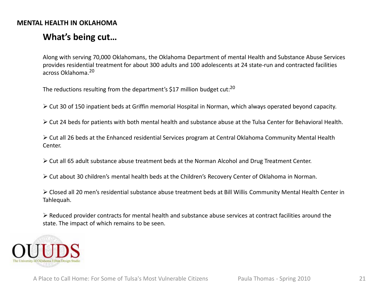# **What's being cut…**

Along with serving 70,000 Oklahomans, the Oklahoma Department of mental Health and Substance Abuse Services provides residential treatment for about 300 adults and 100 adolescents at 24 state-run and contracted facilities across Oklahoma.<sup>20</sup>

The reductions resulting from the department's \$17 million budget cut:<sup>20</sup>

Cut 30 of 150 inpatient beds at Griffin memorial Hospital in Norman, which always operated beyond capacity.

 $\triangleright$  Cut 24 beds for patients with both mental health and substance abuse at the Tulsa Center for Behavioral Health.

 Cut all 26 beds at the Enhanced residential Services program at Central Oklahoma Community Mental Health Center.

 $\triangleright$  Cut all 65 adult substance abuse treatment beds at the Norman Alcohol and Drug Treatment Center.

Cut about 30 children's mental health beds at the Children's Recovery Center of Oklahoma in Norman.

 Closed all 20 men's residential substance abuse treatment beds at Bill Willis Community Mental Health Center in Tahlequah.

 $\triangleright$  Reduced provider contracts for mental health and substance abuse services at contract facilities around the state. The impact of which remains to be seen.

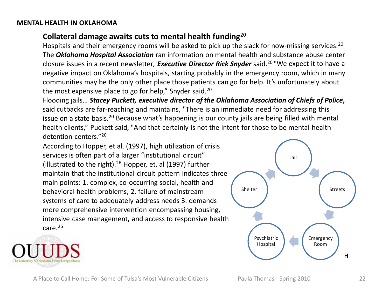# **Collateral damage awaits cuts to mental health funding**<sup>20</sup>

Hospitals and their emergency rooms will be asked to pick up the slack for now-missing services.<sup>20</sup> The *Oklahoma Hospital Association* ran information on mental health and substance abuse center closure issues in a recent newsletter*, Executive Director Rick Snyder* said.20 "We expect it to have a negative impact on Oklahoma's hospitals, starting probably in the emergency room, which in many communities may be the only other place those patients can go for help. It's unfortunately about the most expensive place to go for help," Snyder said.<sup>20</sup>

Flooding jails… *Stacey Puckett, executive director of the Oklahoma Association of Chiefs of Police***,** said cutbacks are far-reaching and maintains, "There is an immediate need for addressing this issue on a state basis.<sup>20</sup> Because what's happening is our county jails are being filled with mental health clients," Puckett said, "And that certainly is not the intent for those to be mental health detention centers."20

According to Hopper, et al. (1997), high utilization of crisis services is often part of a larger "institutional circuit" (illustrated to the right).<sup>26</sup> Hopper, et, al (1997) further maintain that the institutional circuit pattern indicates three main points: 1. complex, co-occurring social, health and behavioral health problems, 2. failure of mainstream systems of care to adequately address needs 3. demands more comprehensive intervention encompassing housing, intensive case management, and access to responsive health care. $26$ 



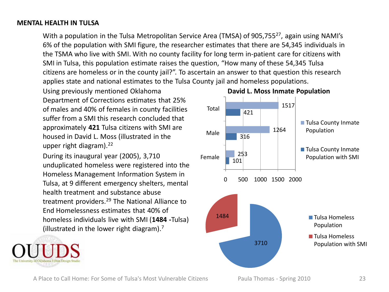### **MENTAL HEALTH IN TULSA**

With a population in the Tulsa Metropolitan Service Area (TMSA) of 905,755<sup>27</sup>, again using NAMI's 6% of the population with SMI figure, the researcher estimates that there are 54,345 individuals in the TSMA who live with SMI. With no county facility for long term in-patient care for citizens with SMI in Tulsa, this population estimate raises the question, "How many of these 54,345 Tulsa citizens are homeless or in the county jail?". To ascertain an answer to that question this research applies state and national estimates to the Tulsa County jail and homeless populations.

Using previously mentioned Oklahoma Department of Corrections estimates that 25% of males and 40% of females in county facilities suffer from a SMI this research concluded that approximately **421** Tulsa citizens with SMI are housed in David L. Moss (illustrated in the upper right diagram). $22$ 

During its inaugural year (2005), 3,710 unduplicated homeless were registered into the Homeless Management Information System in Tulsa, at 9 different emergency shelters, mental health treatment and substance abuse treatment providers.<sup>29</sup> The National Alliance to End Homelessness estimates that 40% of homeless individuals live with SMI (**1484 -**Tulsa) (illustrated in the lower right diagram).7





#### **David L. Moss Inmate Population**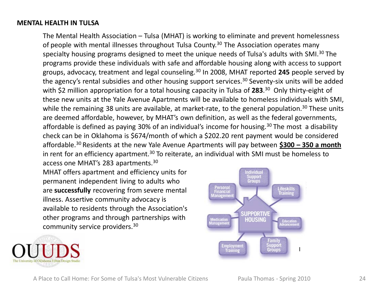## **MENTAL HEALTH IN TULSA**

The Mental Health Association – Tulsa (MHAT) is working to eliminate and prevent homelessness of people with mental illnesses throughout Tulsa County.<sup>30</sup> The Association operates many specialty housing programs designed to meet the unique needs of Tulsa's adults with SMI.<sup>30</sup> The programs provide these individuals with safe and affordable housing along with access to support groups, advocacy, treatment and legal counseling.30 In 2008, MHAT reported **245** people served by the agency's rental subsidies and other housing support services.<sup>30</sup> Seventy-six units will be added with \$2 million appropriation for a total housing capacity in Tulsa of **283**. <sup>30</sup> Only thirty-eight of these new units at the Yale Avenue Apartments will be available to homeless individuals with SMI, while the remaining 38 units are available, at market-rate, to the general population.<sup>30</sup> These units are deemed affordable, however, by MHAT's own definition, as well as the federal governments, affordable is defined as paying 30% of an individual's income for housing.<sup>30</sup> The most a disability check can be in Oklahoma is \$674/month of which a \$202.20 rent payment would be considered affordable.30 Residents at the new Yale Avenue Apartments will pay between **\$300 – 350 a month**  in rent for an efficiency apartment.<sup>30</sup> To reiterate, an individual with SMI must be homeless to access one MHAT's 283 apartments.30

MHAT offers apartment and efficiency units for permanent independent living to adults who are **successfully** recovering from severe mental illness. Assertive community advocacy is available to residents through the Association's other programs and through partnerships with community service providers.30



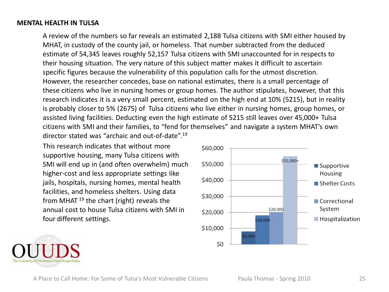### **MENTAL HEALTH IN TULSA**

A review of the numbers so far reveals an estimated 2,188 Tulsa citizens with SMI either housed by MHAT, in custody of the county jail, or homeless. That number subtracted from the deduced estimate of 54,345 leaves roughly 52,157 Tulsa citizens with SMI unaccounted for in respects to their housing situation. The very nature of this subject matter makes it difficult to ascertain specific figures because the vulnerability of this population calls for the utmost discretion. However, the researcher concedes, base on national estimates, there is a small percentage of these citizens who live in nursing homes or group homes. The author stipulates, however, that this research indicates it is a very small percent, estimated on the high end at 10% (5215), but in reality is probably closer to 5% (2675) of Tulsa citizens who live either in nursing homes, group homes, or assisted living facilities. Deducting even the high estimate of 5215 still leaves over 45,000+ Tulsa citizens with SMI and their families, to "fend for themselves" and navigate a system MHAT's own director stated was "archaic and out-of-date".19

This research indicates that without more supportive housing, many Tulsa citizens with SMI will end up in (and often overwhelm) much higher-cost and less appropriate settings like jails, hospitals, nursing homes, mental health facilities, and homeless shelters. Using data from MHAT  $19$  the chart (right) reveals the annual cost to house Tulsa citizens with SMI in four different settings.



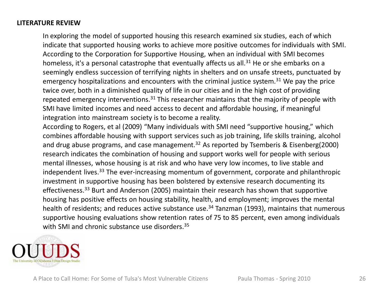# **LITERATURE REVIEW**

In exploring the model of supported housing this research examined six studies, each of which indicate that supported housing works to achieve more positive outcomes for individuals with SMI. According to the Corporation for Supportive Housing, when an individual with SMI becomes homeless, it's a personal catastrophe that eventually affects us all.<sup>31</sup> He or she embarks on a seemingly endless succession of terrifying nights in shelters and on unsafe streets, punctuated by emergency hospitalizations and encounters with the criminal justice system.<sup>31</sup> We pay the price twice over, both in a diminished quality of life in our cities and in the high cost of providing repeated emergency interventions.<sup>31</sup> This researcher maintains that the majority of people with SMI have limited incomes and need access to decent and affordable housing, if meaningful integration into mainstream society is to become a reality.

According to Rogers, et al (2009) "Many individuals with SMI need "supportive housing," which combines affordable housing with support services such as job training, life skills training, alcohol and drug abuse programs, and case management.<sup>32</sup> As reported by Tsemberis & Eisenberg(2000) research indicates the combination of housing and support works well for people with serious mental illnesses, whose housing is at risk and who have very low incomes, to live stable and independent lives.<sup>33</sup> The ever-increasing momentum of government, corporate and philanthropic investment in supportive housing has been bolstered by extensive research documenting its effectiveness.<sup>33</sup> Burt and Anderson (2005) maintain their research has shown that supportive housing has positive effects on housing stability, health, and employment; improves the mental health of residents; and reduces active substance use.<sup>34</sup> Tanzman (1993), maintains that numerous supportive housing evaluations show retention rates of 75 to 85 percent, even among individuals with SMI and chronic substance use disorders.<sup>35</sup>

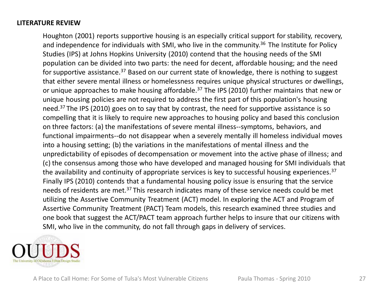# **LITERATURE REVIEW**

Houghton (2001) reports supportive housing is an especially critical support for stability, recovery, and independence for individuals with SMI, who live in the community.<sup>36</sup> The Institute for Policy Studies (IPS) at Johns Hopkins University (2010) contend that the housing needs of the SMI population can be divided into two parts: the need for decent, affordable housing; and the need for supportive assistance.<sup>37</sup> Based on our current state of knowledge, there is nothing to suggest that either severe mental illness or homelessness requires unique physical structures or dwellings, or unique approaches to make housing affordable.<sup>37</sup> The IPS (2010) further maintains that new or unique housing policies are not required to address the first part of this population's housing need.<sup>37</sup> The IPS (2010) goes on to say that by contrast, the need for supportive assistance is so compelling that it is likely to require new approaches to housing policy and based this conclusion on three factors: (a) the manifestations of severe mental illness--symptoms, behaviors, and functional impairments--do not disappear when a severely mentally ill homeless individual moves into a housing setting; (b) the variations in the manifestations of mental illness and the unpredictability of episodes of decompensation or movement into the active phase of illness; and (c) the consensus among those who have developed and managed housing for SMI individuals that the availability and continuity of appropriate services is key to successful housing experiences.<sup>37</sup> Finally IPS (2010) contends that a fundamental housing policy issue is ensuring that the service needs of residents are met.<sup>37</sup> This research indicates many of these service needs could be met utilizing the Assertive Community Treatment (ACT) model. In exploring the ACT and Program of Assertive Community Treatment (PACT) Team models, this research examined three studies and one book that suggest the ACT/PACT team approach further helps to insure that our citizens with SMI, who live in the community, do not fall through gaps in delivery of services.

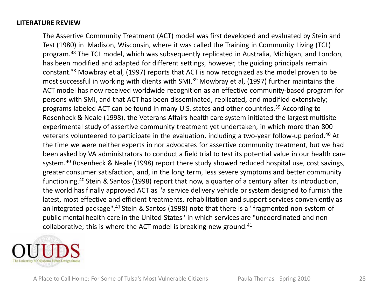# **LITERATURE REVIEW**

The Assertive Community Treatment (ACT) model was first developed and evaluated by Stein and Test (1980) in Madison, Wisconsin, where it was called the Training in Community Living (TCL) program.<sup>38</sup> The TCL model, which was subsequently replicated in Australia, Michigan, and London, has been modified and adapted for different settings, however, the guiding principals remain constant.38 Mowbray et al, (1997) reports that ACT is now recognized as the model proven to be most successful in working with clients with SMI.<sup>39</sup> Mowbray et al, (1997) further maintains the ACT model has now received worldwide recognition as an effective community-based program for persons with SMI, and that ACT has been disseminated, replicated, and modified extensively; programs labeled ACT can be found in many U.S. states and other countries.<sup>39</sup> According to Rosenheck & Neale (1998), the Veterans Affairs health care system initiated the largest multisite experimental study of assertive community treatment yet undertaken, in which more than 800 veterans volunteered to participate in the evaluation, including a two-year follow-up period.40 At the time we were neither experts in nor advocates for assertive community treatment, but we had been asked by VA administrators to conduct a field trial to test its potential value in our health care system.<sup>40</sup> Rosenheck & Neale (1998) report there study showed reduced hospital use, cost savings, greater consumer satisfaction, and, in the long term, less severe symptoms and better community functioning.40 Stein & Santos (1998) report that now, a quarter of a century after its introduction, the world hasfinally approved ACT as "a service delivery vehicle or system designed to furnish the latest, most effective and efficient treatments, rehabilitation and support services conveniently as an integrated package".<sup>41</sup> Stein & Santos (1998) note that there is a "fragmented non-system of public mental health care in the United States" in which services are "uncoordinated and noncollaborative; this is where the ACT model is breaking new ground. $41$ 

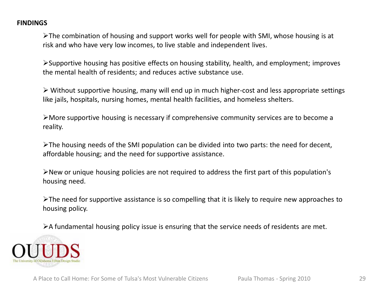# **FINDINGS**

The combination of housing and support works well for people with SMI, whose housing is at risk and who have very low incomes, to live stable and independent lives.

Supportive housing has positive effects on housing stability, health, and employment; improves the mental health of residents; and reduces active substance use.

 $\triangleright$  Without supportive housing, many will end up in much higher-cost and less appropriate settings like jails, hospitals, nursing homes, mental health facilities, and homeless shelters.

More supportive housing is necessary if comprehensive community services are to become a reality.

The housing needs of the SMI population can be divided into two parts: the need for decent, affordable housing; and the need for supportive assistance.

New or unique housing policies are not required to address the first part of this population's housing need.

 $\triangleright$ The need for supportive assistance is so compelling that it is likely to require new approaches to housing policy.

A fundamental housing policy issue is ensuring that the service needs of residents are met.

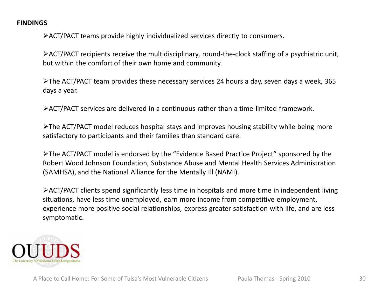# **FINDINGS**

ACT/PACT teams provide highly individualized services directly to consumers.

ACT/PACT recipients receive the multidisciplinary, round-the-clock staffing of a psychiatric unit, but within the comfort of their own home and community.

The ACT/PACT team provides these necessary services 24 hours a day, seven days a week, 365 days a year.

ACT/PACT services are delivered in a continuous rather than a time-limited framework.

The ACT/PACT model reduces hospital stays and improves housing stability while being more satisfactory to participants and their families than standard care.

The ACT/PACT model is endorsed by the "Evidence Based Practice Project" sponsored by the Robert Wood Johnson Foundation, Substance Abuse and Mental Health Services Administration (SAMHSA), and the National Alliance for the Mentally Ill (NAMI).

ACT/PACT clients spend significantly less time in hospitals and more time in independent living situations, have less time unemployed, earn more income from competitive employment, experience more positive social relationships, express greater satisfaction with life, and are less symptomatic.

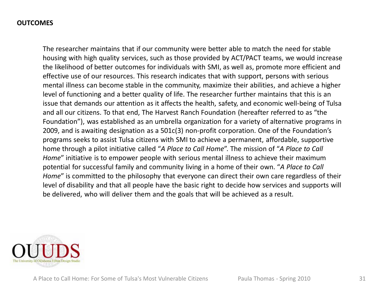The researcher maintains that if our community were better able to match the need for stable housing with high quality services, such as those provided by ACT/PACT teams, we would increase the likelihood of better outcomes for individuals with SMI, as well as, promote more efficient and effective use of our resources. This research indicates that with support, persons with serious mental illness can become stable in the community, maximize their abilities, and achieve a higher level of functioning and a better quality of life. The researcher further maintains that this is an issue that demands our attention as it affects the health, safety, and economic well-being of Tulsa and all our citizens. To that end, The Harvest Ranch Foundation (hereafter referred to as "the Foundation"), was established as an umbrella organization for a variety of alternative programs in 2009, and is awaiting designation as a 501c(3) non-profit corporation. One of the Foundation's programs seeks to assist Tulsa citizens with SMI to achieve a permanent, affordable, supportive home through a pilot initiative called "*A Place to Call Home*". The mission of "*A Place to Call Home*" initiative is to empower people with serious mental illness to achieve their maximum potential for successful family and community living in a home of their own. "*A Place to Call Home*" is committed to the philosophy that everyone can direct their own care regardless of their level of disability and that all people have the basic right to decide how services and supports will be delivered, who will deliver them and the goals that will be achieved as a result.

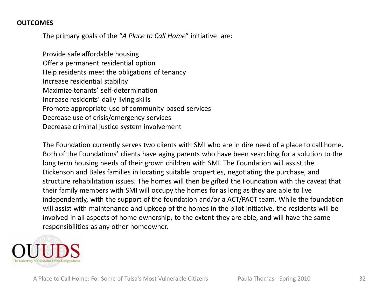The primary goals of the "*A Place to Call Home*" initiative are:

Provide safe affordable housing Offer a permanent residential option Help residents meet the obligations of tenancy Increase residential stability Maximize tenants' self-determination Increase residents' daily living skills Promote appropriate use of community-based services Decrease use of crisis/emergency services Decrease criminal justice system involvement

The Foundation currently serves two clients with SMI who are in dire need of a place to call home. Both of the Foundations' clients have aging parents who have been searching for a solution to the long term housing needs of their grown children with SMI. The Foundation will assist the Dickenson and Bales families in locating suitable properties, negotiating the purchase, and structure rehabilitation issues. The homes will then be gifted the Foundation with the caveat that their family members with SMI will occupy the homes for as long as they are able to live independently, with the support of the foundation and/or a ACT/PACT team. While the foundation will assist with maintenance and upkeep of the homes in the pilot initiative, the residents will be involved in all aspects of home ownership, to the extent they are able, and will have the same responsibilities as any other homeowner.

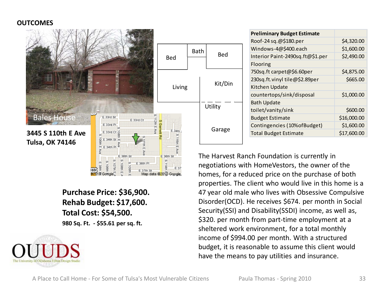

**Purchase Price: \$36,900. Rehab Budget: \$17,600. Total Cost: \$54,500. 980 Sq. Ft. - \$55.61 per sq. ft.**



| <b>Preliminary Budget Estimate</b> |             |
|------------------------------------|-------------|
| Roof-24 sq.@\$180.per              | \$4,320.00  |
| Windows-4@\$400.each               | \$1,600.00  |
| Interior Paint-2490sq.ft@\$1.per   | \$2,490.00  |
| Flooring                           |             |
| 750sq.ft carpet@\$6.60per          | \$4,875.00  |
| 230sq.ft.vinyl tile@\$2.89per      | \$665.00    |
| Kitchen Update                     |             |
| countertops/sink/disposal          | \$1,000.00  |
| <b>Bath Update</b>                 |             |
| toilet/vanity/sink                 | \$600.00    |
| <b>Budget Estimate</b>             | \$16,000.00 |
| Contingencies (10% of Budget)      | \$1,600.00  |
| <b>Total Budget Estimate</b>       | \$17,600.00 |

The Harvest Ranch Foundation is currently in negotiations with HomeVestors, the owner of the homes, for a reduced price on the purchase of both properties. The client who would live in this home is a 47 year old male who lives with Obsessive Compulsive Disorder(OCD). He receives \$674. per month in Social Security(SSI) and Disability(SSDI) income, as well as, \$320. per month from part-time employment at a sheltered work environment, for a total monthly income of \$994.00 per month. With a structured budget, it is reasonable to assume this client would have the means to pay utilities and insurance.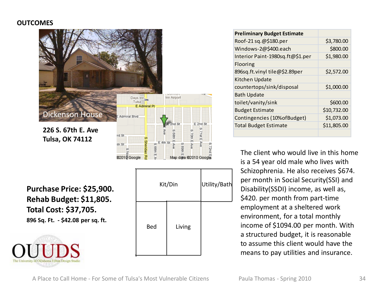

**Purchase Price: \$25,900. Rehab Budget: \$11,805. Total Cost: \$37,705. 896 Sq. Ft. - \$42.08 per sq. ft.**



|     | Kit/Din | Utility/Bath |
|-----|---------|--------------|
| Bed | Living  |              |

| <b>Preliminary Budget Estimate</b> |             |
|------------------------------------|-------------|
| Roof-21 sq.@\$180.per              | \$3,780.00  |
| Windows-2@\$400.each               | \$800.00    |
| Interior Paint-1980sq.ft@\$1.per   | \$1,980.00  |
| Flooring                           |             |
| 896sq.ft.vinyl tile@\$2.89per      | \$2,572.00  |
| Kitchen Update                     |             |
| countertops/sink/disposal          | \$1,000.00  |
| <b>Bath Update</b>                 |             |
| toilet/vanity/sink                 | \$600.00    |
| <b>Budget Estimate</b>             | \$10,732.00 |
| Contingencies (10% of Budget)      | \$1,073.00  |
| <b>Total Budget Estimate</b>       | \$11,805.00 |
|                                    |             |

The client who would live in this home is a 54 year old male who lives with Schizophrenia. He also receives \$674. per month in Social Security(SSI) and Disability(SSDI) income, as well as, \$420. per month from part-time employment at a sheltered work environment, for a total monthly income of \$1094.00 per month. With a structured budget, it is reasonable to assume this client would have the means to pay utilities and insurance.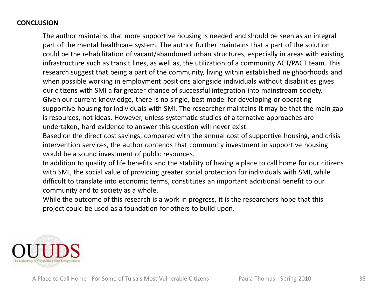# **CONCLUSION**

The author maintains that more supportive housing is needed and should be seen as an integral part of the mental healthcare system. The author further maintains that a part of the solution could be the rehabilitation of vacant/abandoned urban structures, especially in areas with existing infrastructure such as transit lines, as well as, the utilization of a community ACT/PACT team. This research suggest that being a part of the community, living within established neighborhoods and when possible working in employment positions alongside individuals without disabilities gives our citizens with SMI a far greater chance of successful integration into mainstream society. Given our current knowledge, there is no single, best model for developing or operating supportive housing for individuals with SMI. The researcher maintains it may be that the main gap is resources, not ideas. However, unless systematic studies of alternative approaches are undertaken, hard evidence to answer this question will never exist.

Based on the direct cost savings, compared with the annual cost of supportive housing, and crisis intervention services, the author contends that community investment in supportive housing would be a sound investment of public resources.

In addition to quality of life benefits and the stability of having a place to call home for our citizens with SMI, the social value of providing greater social protection for individuals with SMI, while difficult to translate into economic terms, constitutes an important additional benefit to our community and to society as a whole.

While the outcome of this research is a work in progress, it is the researchers hope that this project could be used as a foundation for others to build upon.

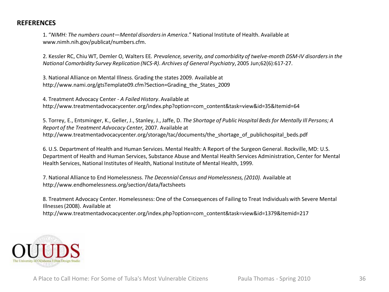1. "*NIMH: The numbers count—Mental disorders in America*." National Institute of Health. Available at www.nimh.nih.gov/publicat/numbers.cfm.

2. Kessler RC, Chiu WT, Demler O, Walters EE*. Prevalence, severity, and comorbidity of twelve-month DSM-IV disorders in the National Comorbidity Survey Replication (NCS-R)*. *Archives of General Psychiatry*, 2005 Jun;62(6):617-27.

3. National Alliance on Mental Illness. Grading the states 2009. Available at http://www.nami.org/gtsTemplate09.cfm?Section=Grading\_the\_States\_2009

4. Treatment Advocacy Center - *A Failed History*. Available at http://www.treatmentadvocacycenter.org/index.php?option=com\_content&task=view&id=35&Itemid=64

5. Torrey, E., Entsminger, K., Geller, J., Stanley, J., Jaffe, D. *The Shortage of Public Hospital Beds for Mentally Ill Persons; A Report of the Treatment Advocacy Center,* 2007. Available at http://www.treatmentadvocacycenter.org/storage/tac/documents/the\_shortage\_of\_publichospital\_beds.pdf

6. U.S. Department of Health and Human Services. Mental Health: A Report of the Surgeon General. Rockville, MD: U.S. Department of Health and Human Services, Substance Abuse and Mental Health Services Administration, Center for Mental Health Services, National Institutes of Health, National Institute of Mental Health, 1999.

7. National Alliance to End Homelessness. *The Decennial Census and Homelessness, (2010).* Available at http://www.endhomelessness.org/section/data/factsheets

8. Treatment Advocacy Center. Homelessness: One of the Consequences of Failing to Treat Individuals with Severe Mental Illnesses (2008). Available at http://www.treatmentadvocacycenter.org/index.php?option=com\_content&task=view&id=1379&Itemid=217

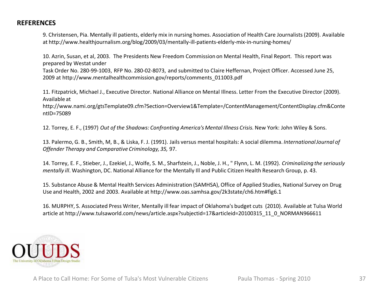9. Christensen, Pia. Mentally ill patients, elderly mix in nursing homes. Association of Health Care Journalists (2009). Available at http://www.healthjournalism.org/blog/2009/03/mentally-ill-patients-elderly-mix-in-nursing-homes/

10. Azrin, Susan, et al, 2003. The Presidents New Freedom Commission on Mental Health, Final Report. This report was prepared by Westat under

Task Order No. 280-99-1003, RFP No. 280-02-8073, and submitted to Claire Heffernan, Project Officer. Accessed June 25, 2009 at http://www.mentalhealthcommission.gov/reports/comments\_011003.pdf

11. Fitzpatrick, Michael J., Executive Director. National Alliance on Mental Illness. Letter From the Executive Director (2009). Available at

http://www.nami.org/gtsTemplate09.cfm?Section=Overview1&Template=/ContentManagement/ContentDisplay.cfm&Conte ntID=75089

12. Torrey, E. F., (1997) *Out of the Shadows: Confronting America's Mental Illness Crisis.* New York: John Wiley & Sons.

13. Palermo, G. B., Smith, M, B., & Liska, F. J. (1991). Jails versus mental hospitals: A social dilemma. *International Journal of Offender Therapy and Comparative Criminology, 35,* 97.

14. Torrey, E. F., Stieber, J., Ezekiel, J., Wolfe, S. M., Sharfstein, J., Noble, J. H., " Flynn, L. M. (1992). *Criminalizing the seriously mentally ill*. Washington, DC. National Alliance for the Mentally Ill and Public Citizen Health Research Group, p. 43.

15. Substance Abuse & Mental Health Services Administration (SAMHSA), Office of Applied Studies, National Survey on Drug Use and Health, 2002 and 2003. Available at http://www.oas.samhsa.gov/2k3state/ch6.htm#fig6.1

16. MURPHY, S. Associated Press Writer, Mentally ill fear impact of Oklahoma's budget cuts (2010). Available at Tulsa World article at http://www.tulsaworld.com/news/article.aspx?subjectid=17&articleid=20100315\_11\_0\_NORMAN966611

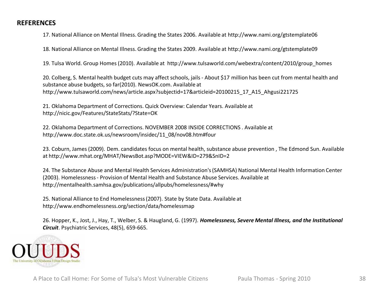17. National Alliance on Mental Illness. Grading the States 2006. Available at http://www.nami.org/gtstemplate06

18. National Alliance on Mental Illness. Grading the States 2009. Available at http://www.nami.org/gtstemplate09

19. Tulsa World. Group Homes (2010). Available at http://www.tulsaworld.com/webextra/content/2010/group\_homes

20. Colberg, S. Mental health budget cuts may affect schools, jails - About \$17 million has been cut from mental health and substance abuse budgets, so far(2010). NewsOK.com. Available at http://www.tulsaworld.com/news/article.aspx?subjectid=17&articleid=20100215\_17\_A15\_Ahgusi221725

21. Oklahoma Department of Corrections. Quick Overview: Calendar Years. Available at http://nicic.gov/Features/StateStats/?State=OK

22. Oklahoma Department of Corrections. NOVEMBER 2008 INSIDE CORRECTIONS . Available at http://www.doc.state.ok.us/newsroom/insidec/11\_08/nov08.htm#four

23. Coburn, James (2009). Dem. candidates focus on mental health, substance abuse prevention , The Edmond Sun. Available at http://www.mhat.org/MHAT/NewsBot.asp?MODE=VIEW&ID=279&SnID=2

24. The Substance Abuse and Mental Health Services Administration's (SAMHSA) National Mental Health Information Center (2003). Homelessness - Provision of Mental Health and Substance Abuse Services. Available at http://mentalhealth.samhsa.gov/publications/allpubs/homelessness/#why

25. National Alliance to End Homelessness (2007). State by State Data. Available at http://www.endhomelessness.org/section/data/homelessmap

26. Hopper, K., Jost, J., Hay, T., Welber, S. & Haugland, G. (1997). *Homelessness, Severe Mental Illness, and the Institutional Circuit*. Psychiatric Services, 48(5), 659-665.

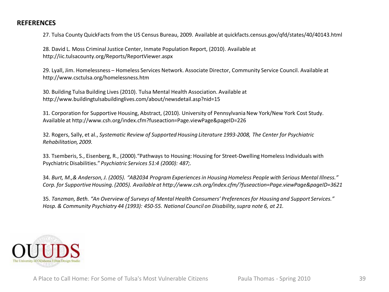27. Tulsa County QuickFacts from the US Census Bureau, 2009. Available at quickfacts.census.gov/qfd/states/40/40143.html

28. David L. Moss Criminal Justice Center, Inmate Population Report, (2010). Available at http://iic.tulsacounty.org/Reports/ReportViewer.aspx

29. Lyall, Jim. Homelessness – Homeless Services Network. Associate Director, Community Service Council. Available at http://www.csctulsa.org/homelessness.htm

30. Building Tulsa Building Lives (2010). Tulsa Mental Health Association. Available at http://www.buildingtulsabuildinglives.com/about/newsdetail.asp?nid=15

31. Corporation for Supportive Housing, Abstract, (2010). University of Pennsylvania New York/New York Cost Study. Available at http://www.csh.org/index.cfm?fuseaction=Page.viewPage&pageID=226

32. Rogers, Sally, et al., *Systematic Review of Supported Housing Literature 1993-2008, The Center for Psychiatric Rehabilitation, 2009.* 

33. Tsemberis, S., Eisenberg, R., (2000)."Pathways to Housing: Housing for Street-Dwelling Homeless Individuals with Psychiatric Disabilities." *Psychiatric Services 51:4 (2000): 487;.*

34. *Burt, M.,& Anderson, J. (2005). "AB2034 Program Experiences in Housing Homeless People with Serious Mental Illness." Corp. for Supportive Housing. (2005). Available at http://www.csh.org/index.cfm/?fuseaction=Page.viewPage&pageID=3621*

35. *Tanzman, Beth. "An Overview of Surveys of Mental Health Consumers' Preferences for Housing and Support Services." Hosp. & Community Psychiatry 44 (1993): 450-55. National Council on Disability, supra note 6, at 21.* 

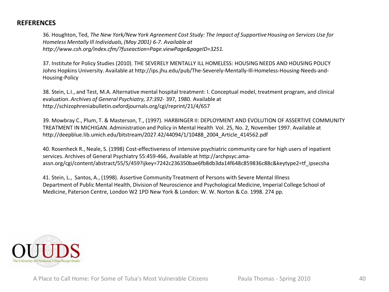36. Houghton, Ted, *The New York/New York Agreement Cost Study: The Impact of Supportive Housing on Services Use for Homeless Mentally Ill Individuals, (May 2001) 6-7. Available at http://www.csh.org/index.cfm/?fuseaction=Page.viewPage&pageID=3251.* 

37. Institute for Policy Studies (2010). THE SEVERELY MENTALLY ILL HOMELESS: HOUSING NEEDS AND HOUSING POLICY Johns Hopkins University. Available at http://ips.jhu.edu/pub/The-Severely-Mentally-Ill-Homeless-Housing-Needs-and-Housing-Policy

38. Stein, L.I., and Test, M.A. Alternative mental hospital treatment: I. Conceptual model, treatment program, and clinical evaluation. *Archives of General Psychiatry, 37:392-* 397, 1980. Available at http://schizophreniabulletin.oxfordjournals.org/cgi/reprint/21/4/657

39. Mowbray C., Plum, T. & Masterson, T., (1997). HARBINGER II: DEPLOYMENT AND EVOLUTION OF ASSERTIVE COMMUNITY TREATMENT IN MICHIGAN. Administration and Policy in Mental Health Vol. 25, No. 2, November 1997. Available at http://deepblue.lib.umich.edu/bitstream/2027.42/44094/1/10488\_2004\_Article\_414562.pdf

40. Rosenheck R., Neale, S. (1998) Cost-effectiveness of intensive psychiatric community care for high users of inpatient services. Archives of General Psychiatry 55:459-466, Available at http://archpsyc.amaassn.org/cgi/content/abstract/55/5/459?ijkey=7242c236350bae6fb8db3da14f648c859836c88c&keytype2=tf\_ipsecsha

41. Stein, L., Santos, A., (1998). Assertive Community Treatment of Persons with Severe Mental Illness Department of Public Mental Health, Division of Neuroscience and Psychological Medicine, Imperial College School of Medicine, Paterson Centre, London W2 1PD New York & London: W. W. Norton & Co. 1998. 274 pp.

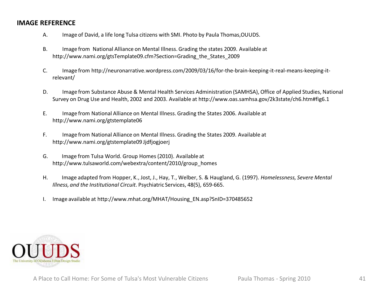# **IMAGE REFERENCE**

- A. Image of David, a life long Tulsa citizens with SMI. Photo by Paula Thomas,OUUDS.
- B. Image from National Alliance on Mental Illness. Grading the states 2009. Available at http://www.nami.org/gtsTemplate09.cfm?Section=Grading\_the\_States\_2009
- C. Image from http://neuronarrative.wordpress.com/2009/03/16/for-the-brain-keeping-it-real-means-keeping-itrelevant/
- D. Image from Substance Abuse & Mental Health Services Administration (SAMHSA), Office of Applied Studies, National Survey on Drug Use and Health, 2002 and 2003. Available at http://www.oas.samhsa.gov/2k3state/ch6.htm#fig6.1
- E. Image from National Alliance on Mental Illness. Grading the States 2006. Available at http://www.nami.org/gtstemplate06
- F. Image from National Alliance on Mental Illness. Grading the States 2009. Available at http://www.nami.org/gtstemplate09 Jjdfjogjoerj
- G. Image from Tulsa World. Group Homes (2010). Available at http://www.tulsaworld.com/webextra/content/2010/group\_homes
- H. Image adapted from Hopper, K., Jost, J., Hay, T., Welber, S. & Haugland, G. (1997). *Homelessness, Severe Mental Illness, and the Institutional Circuit*. Psychiatric Services, 48(5), 659-665.
- I. Image available at http://www.mhat.org/MHAT/Housing\_EN.asp?SnID=370485652

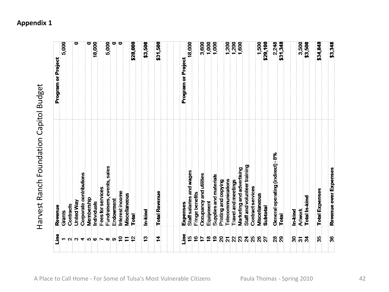| Program or Project | 5,000  |           |            |                                                              |            | 18,000     |                   | 5,000                      |           |                 |               | \$28,000    | \$3,500       | \$31,500             |  | Program or Project | 18,000                   |                 | 3,600                   | 1,000<br>1,000 |                        |                      |                                   | $7,200$<br>$1,600$<br>$1,600$                    |                              |                   | 1,500         | \$29,100 | 2,248                           | \$31,348     |         | 3,500          | \$3,500       | \$34,848              | \$3,348               |
|--------------------|--------|-----------|------------|--------------------------------------------------------------|------------|------------|-------------------|----------------------------|-----------|-----------------|---------------|-------------|---------------|----------------------|--|--------------------|--------------------------|-----------------|-------------------------|----------------|------------------------|----------------------|-----------------------------------|--------------------------------------------------|------------------------------|-------------------|---------------|----------|---------------------------------|--------------|---------|----------------|---------------|-----------------------|-----------------------|
| Revenue            | Grants | Contracts | United Way | Corporate contributions                                      | Membership | hdividuals | Fees for services | Fundraisers, events, sales | Endowment | Interest income | Miscellaneous | Total       | In-kind       | <b>Total Revenue</b> |  | Expenses           | Staff salaries and wages | Fringe benefits | Occupancy and utilities | Equipment      | Supplies and materials | Printing and copying | Telecommunications                | Marketing and advertising<br>Travel and meetings | Staff and volunteer training | Contract services | Miscellaneous | Subtotal | General operating (indirect)-8% | Total        | In-kind | <b>Artwork</b> | Total In-kind | <b>Total Expenses</b> | Revenue over Expenses |
| ە<br>تا            |        |           |            | $N$ $\omega$ $\mathbf{A}$ $\omega$ $\mathbf{C}$ $\mathbf{C}$ |            |            |                   |                            | o         | ₽               | Ξ             | $\tilde{r}$ | $\frac{3}{2}$ | ≠                    |  | eaiL<br>Line       | $\overline{5}$           | $\frac{1}{2}$   |                         | $\mathbf{a}$   | $\mathbf{e}$           | $\overline{20}$      | $\overline{21}$<br>$\mathbb{R}^2$ | $\mathbb{Z}^2$                                   | $\mathbf{z}$                 | 25                | $\frac{8}{2}$ | 27       | $\overline{28}$                 | $\mathbf{g}$ | 30      | $\overline{5}$ | $\mathbf{z}$  | 35                    | 36                    |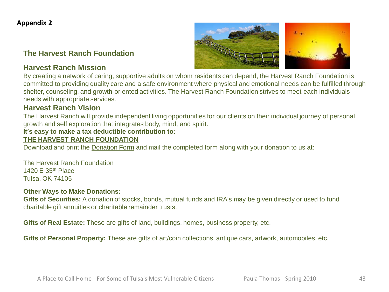# **The Harvest Ranch Foundation**

# **Harvest Ranch Mission**



# **Harvest Ranch Vision**

The Harvest Ranch will provide independent living opportunities for our clients on their individual journey of personal growth and self exploration that integrates body, mind, and spirit.

# **It's easy to make a tax deductible contribution to:**

### **THE HARVEST RANCH FOUNDATION**

Download and print the Donation Form and mail the completed form along with your donation to us at:

The Harvest Ranch Foundation 1420 E 35th Place Tulsa, OK 74105

#### **Other Ways to Make Donations:**

**Gifts of Securities:** A donation of stocks, bonds, mutual funds and IRA's may be given directly or used to fund charitable gift annuities or charitable remainder trusts.

**Gifts of Real Estate:** These are gifts of land, buildings, homes, business property, etc.

**Gifts of Personal Property:** These are gifts of art/coin collections, antique cars, artwork, automobiles, etc.